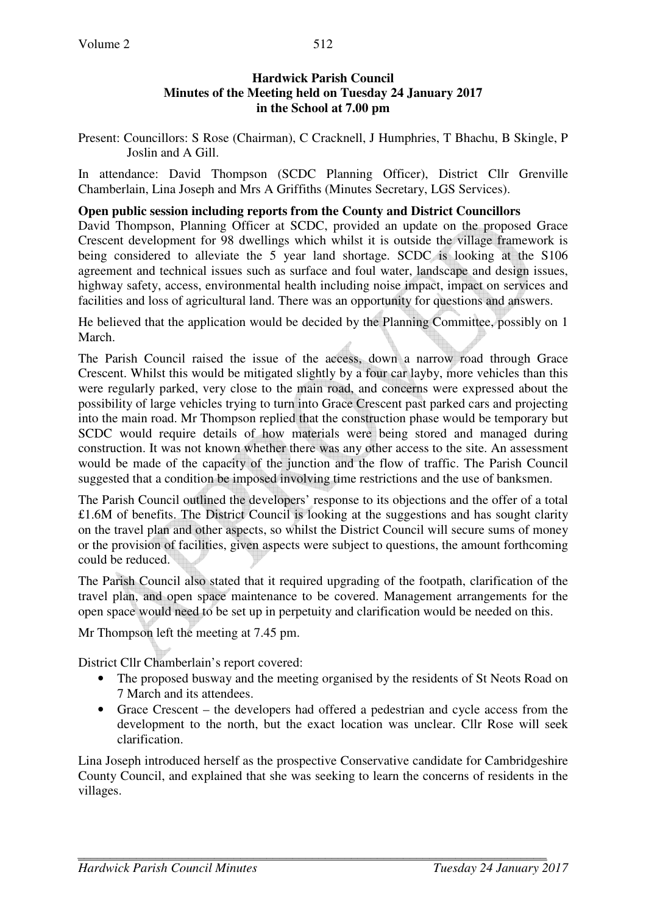Present: Councillors: S Rose (Chairman), C Cracknell, J Humphries, T Bhachu, B Skingle, P Joslin and A Gill.

In attendance: David Thompson (SCDC Planning Officer), District Cllr Grenville Chamberlain, Lina Joseph and Mrs A Griffiths (Minutes Secretary, LGS Services).

# **Open public session including reports from the County and District Councillors**

David Thompson, Planning Officer at SCDC, provided an update on the proposed Grace Crescent development for 98 dwellings which whilst it is outside the village framework is being considered to alleviate the 5 year land shortage. SCDC is looking at the S106 agreement and technical issues such as surface and foul water, landscape and design issues, highway safety, access, environmental health including noise impact, impact on services and facilities and loss of agricultural land. There was an opportunity for questions and answers.

He believed that the application would be decided by the Planning Committee, possibly on 1 March.

The Parish Council raised the issue of the access, down a narrow road through Grace Crescent. Whilst this would be mitigated slightly by a four car layby, more vehicles than this were regularly parked, very close to the main road, and concerns were expressed about the possibility of large vehicles trying to turn into Grace Crescent past parked cars and projecting into the main road. Mr Thompson replied that the construction phase would be temporary but SCDC would require details of how materials were being stored and managed during construction. It was not known whether there was any other access to the site. An assessment would be made of the capacity of the junction and the flow of traffic. The Parish Council suggested that a condition be imposed involving time restrictions and the use of banksmen.

The Parish Council outlined the developers' response to its objections and the offer of a total £1.6M of benefits. The District Council is looking at the suggestions and has sought clarity on the travel plan and other aspects, so whilst the District Council will secure sums of money or the provision of facilities, given aspects were subject to questions, the amount forthcoming could be reduced.

The Parish Council also stated that it required upgrading of the footpath, clarification of the travel plan, and open space maintenance to be covered. Management arrangements for the open space would need to be set up in perpetuity and clarification would be needed on this.

Mr Thompson left the meeting at 7.45 pm.

District Cllr Chamberlain's report covered:

- The proposed busway and the meeting organised by the residents of St Neots Road on 7 March and its attendees.
- Grace Crescent the developers had offered a pedestrian and cycle access from the development to the north, but the exact location was unclear. Cllr Rose will seek clarification.

Lina Joseph introduced herself as the prospective Conservative candidate for Cambridgeshire County Council, and explained that she was seeking to learn the concerns of residents in the villages.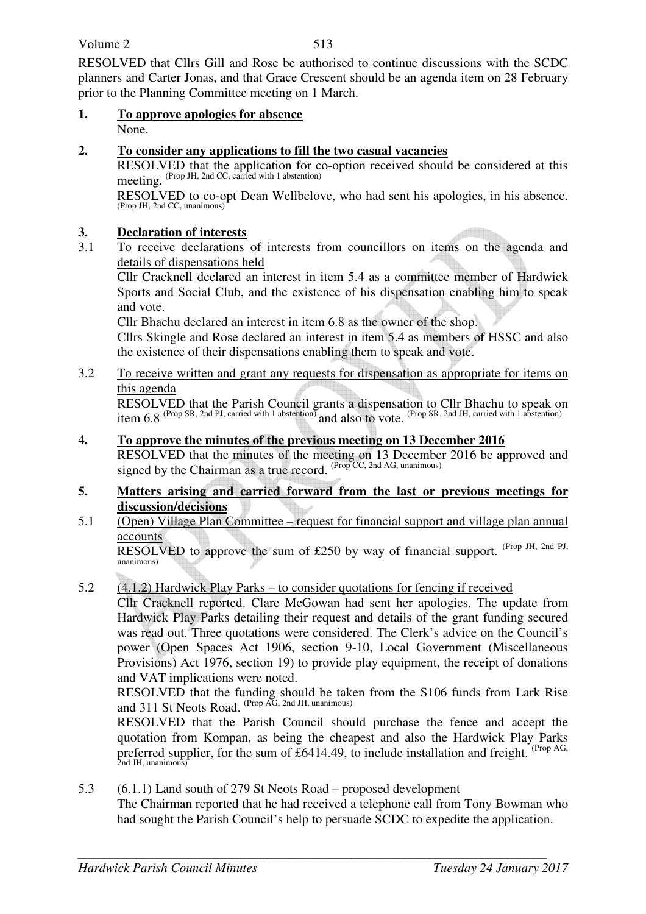Volume 2

RESOLVED that Cllrs Gill and Rose be authorised to continue discussions with the SCDC planners and Carter Jonas, and that Grace Crescent should be an agenda item on 28 February prior to the Planning Committee meeting on 1 March.

**1. To approve apologies for absence** None.

## **2. To consider any applications to fill the two casual vacancies**

RESOLVED that the application for co-option received should be considered at this meeting. (Prop JH, 2nd CC, carried with 1 abstention)

RESOLVED to co-opt Dean Wellbelove, who had sent his apologies, in his absence. (Prop JH, 2nd CC, unanimous)

# **3. Declaration of interests**

3.1 To receive declarations of interests from councillors on items on the agenda and details of dispensations held

Cllr Cracknell declared an interest in item 5.4 as a committee member of Hardwick Sports and Social Club, and the existence of his dispensation enabling him to speak and vote.

Cllr Bhachu declared an interest in item 6.8 as the owner of the shop.

Cllrs Skingle and Rose declared an interest in item 5.4 as members of HSSC and also the existence of their dispensations enabling them to speak and vote.

3.2 To receive written and grant any requests for dispensation as appropriate for items on this agenda

RESOLVED that the Parish Council grants a dispensation to Cllr Bhachu to speak on item  $6.8$  (Prop SR, 2nd PJ, carried with 1 abstention) and also to vote. (Prop SR, 2nd JH, carried with 1 abstention)

# **4. To approve the minutes of the previous meeting on 13 December 2016**

RESOLVED that the minutes of the meeting on 13 December 2016 be approved and signed by the Chairman as a true record. (Prop CC, 2nd AG, unanimous)

## **5. Matters arising and carried forward from the last or previous meetings for discussion/decisions**

5.1 (Open) Village Plan Committee – request for financial support and village plan annual accounts

RESOLVED to approve the sum of £250 by way of financial support. (Prop JH, 2nd PJ, unanimous)

5.2 (4.1.2) Hardwick Play Parks – to consider quotations for fencing if received

Cllr Cracknell reported. Clare McGowan had sent her apologies. The update from Hardwick Play Parks detailing their request and details of the grant funding secured was read out. Three quotations were considered. The Clerk's advice on the Council's power (Open Spaces Act 1906, section 9-10, Local Government (Miscellaneous Provisions) Act 1976, section 19) to provide play equipment, the receipt of donations and VAT implications were noted.

RESOLVED that the funding should be taken from the S106 funds from Lark Rise and 311 St Neots Road. (Prop AG, 2nd JH, unanimous)

RESOLVED that the Parish Council should purchase the fence and accept the quotation from Kompan, as being the cheapest and also the Hardwick Play Parks preferred supplier, for the sum of £6414.49, to include installation and freight. <sup>(Prop AG,</sup> 2nd JH, unanimous)

5.3 (6.1.1) Land south of 279 St Neots Road – proposed development The Chairman reported that he had received a telephone call from Tony Bowman who had sought the Parish Council's help to persuade SCDC to expedite the application.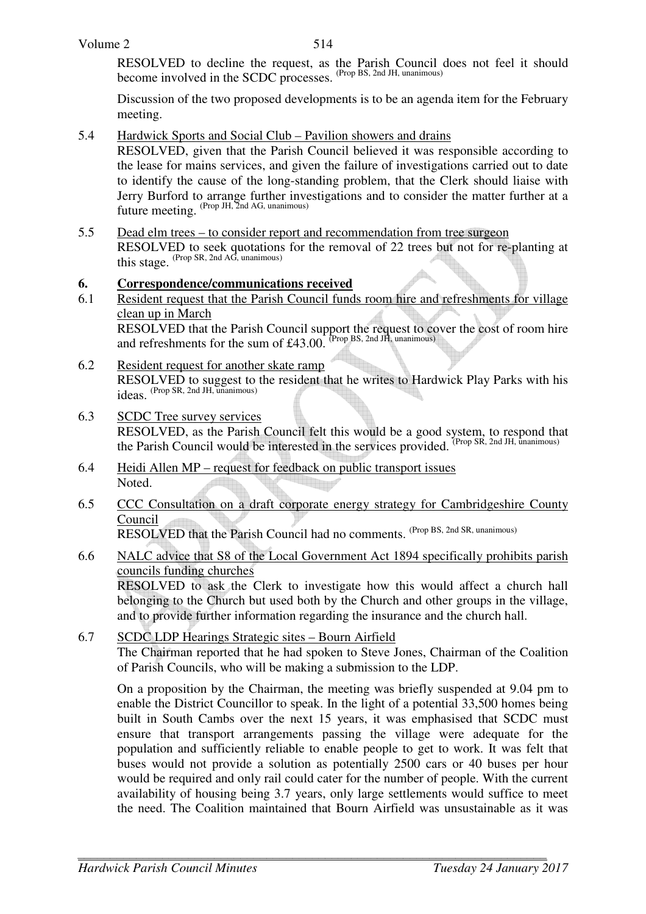RESOLVED to decline the request, as the Parish Council does not feel it should become involved in the SCDC processes. (Prop BS, 2nd JH, unanimous)

Discussion of the two proposed developments is to be an agenda item for the February meeting.

5.4 Hardwick Sports and Social Club – Pavilion showers and drains

 RESOLVED, given that the Parish Council believed it was responsible according to the lease for mains services, and given the failure of investigations carried out to date to identify the cause of the long-standing problem, that the Clerk should liaise with Jerry Burford to arrange further investigations and to consider the matter further at a future meeting. (Prop JH, 2nd AG, unanimous)

5.5 Dead elm trees – to consider report and recommendation from tree surgeon RESOLVED to seek quotations for the removal of 22 trees but not for re-planting at this stage. (Prop SR, 2nd AG, unanimous)

## **6. Correspondence/communications received**

- 6.1 Resident request that the Parish Council funds room hire and refreshments for village clean up in March RESOLVED that the Parish Council support the request to cover the cost of room hire and refreshments for the sum of  $£43.00$ . (Prop BS, 2nd JH, unanimous)
- 6.2 Resident request for another skate ramp RESOLVED to suggest to the resident that he writes to Hardwick Play Parks with his ideas. (Prop SR, 2nd JH, unanimous)
- 6.3 SCDC Tree survey services RESOLVED, as the Parish Council felt this would be a good system, to respond that the Parish Council would be interested in the services provided. (Prop SR, 2nd JH, unanimous)
- 6.4 Heidi Allen MP request for feedback on public transport issues Noted.
- 6.5 CCC Consultation on a draft corporate energy strategy for Cambridgeshire County Council RESOLVED that the Parish Council had no comments. (Prop BS, 2nd SR, unanimous)

## 6.6 NALC advice that S8 of the Local Government Act 1894 specifically prohibits parish councils funding churches

 RESOLVED to ask the Clerk to investigate how this would affect a church hall belonging to the Church but used both by the Church and other groups in the village, and to provide further information regarding the insurance and the church hall.

6.7 SCDC LDP Hearings Strategic sites – Bourn Airfield The Chairman reported that he had spoken to Steve Jones, Chairman of the Coalition of Parish Councils, who will be making a submission to the LDP.

 On a proposition by the Chairman, the meeting was briefly suspended at 9.04 pm to enable the District Councillor to speak. In the light of a potential 33,500 homes being built in South Cambs over the next 15 years, it was emphasised that SCDC must ensure that transport arrangements passing the village were adequate for the population and sufficiently reliable to enable people to get to work. It was felt that buses would not provide a solution as potentially 2500 cars or 40 buses per hour would be required and only rail could cater for the number of people. With the current availability of housing being 3.7 years, only large settlements would suffice to meet the need. The Coalition maintained that Bourn Airfield was unsustainable as it was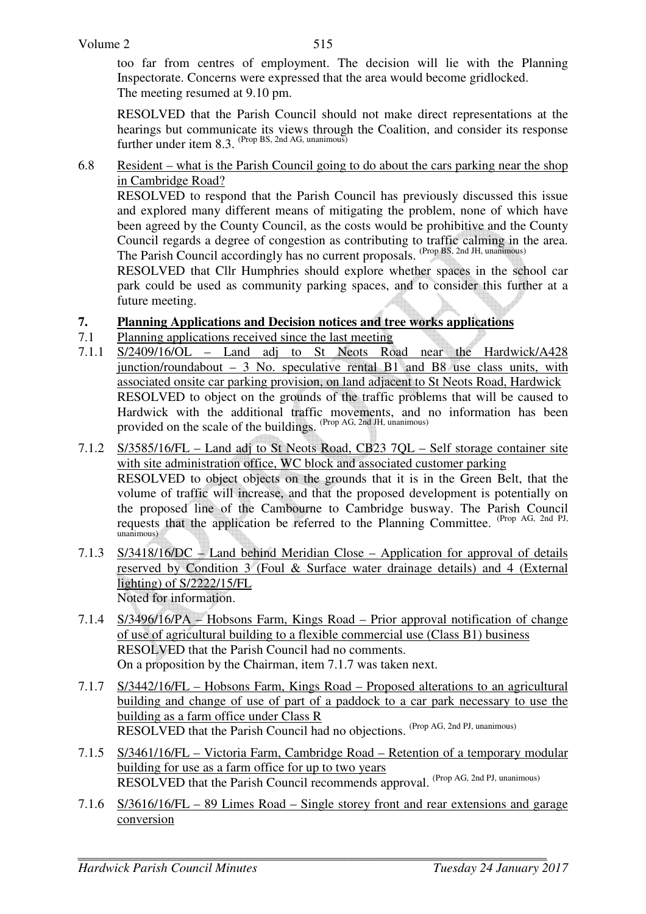too far from centres of employment. The decision will lie with the Planning Inspectorate. Concerns were expressed that the area would become gridlocked. The meeting resumed at 9.10 pm.

RESOLVED that the Parish Council should not make direct representations at the hearings but communicate its views through the Coalition, and consider its response further under item 8.3. <sup>(Prop BS, 2nd AG, unanimous)</sup>

6.8 Resident – what is the Parish Council going to do about the cars parking near the shop in Cambridge Road?

 RESOLVED to respond that the Parish Council has previously discussed this issue and explored many different means of mitigating the problem, none of which have been agreed by the County Council, as the costs would be prohibitive and the County Council regards a degree of congestion as contributing to traffic calming in the area. The Parish Council accordingly has no current proposals. (Prop BS, 2nd JH, unanimous)

RESOLVED that Cllr Humphries should explore whether spaces in the school car park could be used as community parking spaces, and to consider this further at a future meeting.

- **7. Planning Applications and Decision notices and tree works applications**
- 7.1 Planning applications received since the last meeting
- 7.1.1 S/2409/16/OL Land adj to St Neots Road near the Hardwick/A428 junction/roundabout – 3 No. speculative rental B1 and B8 use class units, with associated onsite car parking provision, on land adjacent to St Neots Road, Hardwick RESOLVED to object on the grounds of the traffic problems that will be caused to Hardwick with the additional traffic movements, and no information has been provided on the scale of the buildings. (Prop AG, 2nd JH, unanimous)
- 7.1.2 S/3585/16/FL Land adj to St Neots Road, CB23 7QL Self storage container site with site administration office, WC block and associated customer parking RESOLVED to object objects on the grounds that it is in the Green Belt, that the volume of traffic will increase, and that the proposed development is potentially on the proposed line of the Cambourne to Cambridge busway. The Parish Council requests that the application be referred to the Planning Committee. (Prop AG, 2nd PJ, unanimous)
- 7.1.3 S/3418/16/DC Land behind Meridian Close Application for approval of details reserved by Condition 3 (Foul & Surface water drainage details) and 4 (External lighting) of S/2222/15/FL Noted for information.
- 7.1.4 S/3496/16/PA Hobsons Farm, Kings Road Prior approval notification of change of use of agricultural building to a flexible commercial use (Class B1) business RESOLVED that the Parish Council had no comments. On a proposition by the Chairman, item 7.1.7 was taken next.
- 7.1.7 S/3442/16/FL Hobsons Farm, Kings Road Proposed alterations to an agricultural building and change of use of part of a paddock to a car park necessary to use the building as a farm office under Class R RESOLVED that the Parish Council had no objections. (Prop AG, 2nd PJ, unanimous)
- 7.1.5 S/3461/16/FL Victoria Farm, Cambridge Road Retention of a temporary modular building for use as a farm office for up to two years RESOLVED that the Parish Council recommends approval. (Prop AG, 2nd PJ, unanimous)
- 7.1.6 S/3616/16/FL 89 Limes Road Single storey front and rear extensions and garage conversion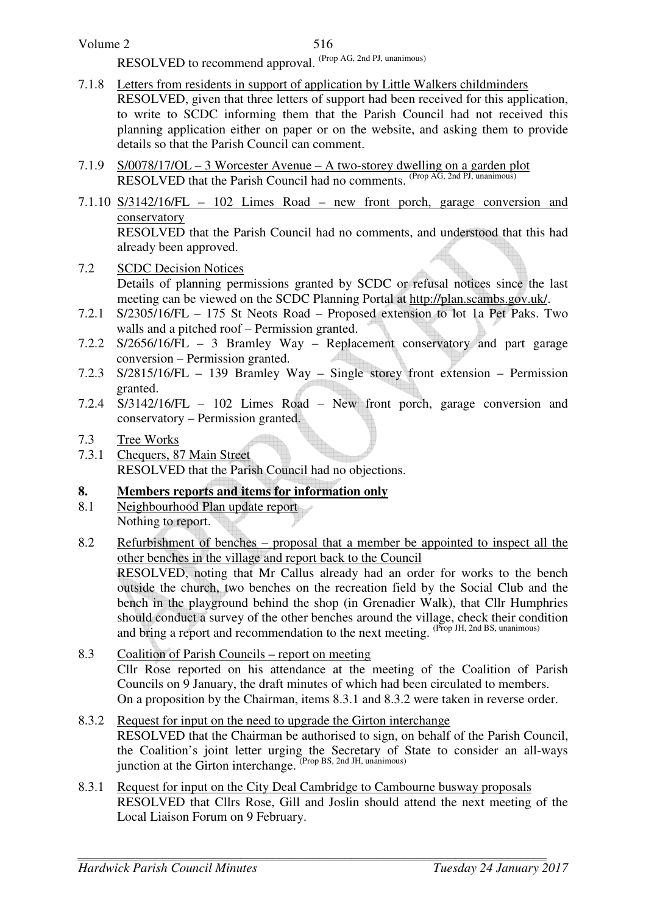RESOLVED to recommend approval. (Prop AG, 2nd PJ, unanimous)

- 7.1.8 Letters from residents in support of application by Little Walkers childminders RESOLVED, given that three letters of support had been received for this application, to write to SCDC informing them that the Parish Council had not received this planning application either on paper or on the website, and asking them to provide details so that the Parish Council can comment.
- 7.1.9 S/0078/17/OL 3 Worcester Avenue A two-storey dwelling on a garden plot RESOLVED that the Parish Council had no comments. (Prop AG, 2nd PJ, unanimous)
- 7.1.10 S/3142/16/FL 102 Limes Road new front porch, garage conversion and conservatory RESOLVED that the Parish Council had no comments, and understood that this had already been approved.
- 7.2 SCDC Decision Notices Details of planning permissions granted by SCDC or refusal notices since the last meeting can be viewed on the SCDC Planning Portal at http://plan.scambs.gov.uk/.
- 7.2.1 S/2305/16/FL 175 St Neots Road Proposed extension to lot 1a Pet Paks. Two walls and a pitched roof – Permission granted.
- 7.2.2 S/2656/16/FL 3 Bramley Way Replacement conservatory and part garage conversion – Permission granted.
- 7.2.3 S/2815/16/FL 139 Bramley Way Single storey front extension Permission granted.
- 7.2.4 S/3142/16/FL 102 Limes Road New front porch, garage conversion and conservatory – Permission granted.

# 7.3 Tree Works

7.3.1 Chequers, 87 Main Street RESOLVED that the Parish Council had no objections.

# **8. Members reports and items for information only**

- 8.1 Neighbourhood Plan update report Nothing to report.
- 8.2 Refurbishment of benches proposal that a member be appointed to inspect all the other benches in the village and report back to the Council RESOLVED, noting that Mr Callus already had an order for works to the bench outside the church, two benches on the recreation field by the Social Club and the bench in the playground behind the shop (in Grenadier Walk), that Cllr Humphries should conduct a survey of the other benches around the village, check their condition and bring a report and recommendation to the next meeting. (Prop JH, 2nd BS, unanimous)
- 8.3 Coalition of Parish Councils report on meeting Cllr Rose reported on his attendance at the meeting of the Coalition of Parish Councils on 9 January, the draft minutes of which had been circulated to members. On a proposition by the Chairman, items 8.3.1 and 8.3.2 were taken in reverse order.
- 8.3.2 Request for input on the need to upgrade the Girton interchange RESOLVED that the Chairman be authorised to sign, on behalf of the Parish Council, the Coalition's joint letter urging the Secretary of State to consider an all-ways junction at the Girton interchange. <sup>(Prop BS, 2nd JH, unanimous)</sup>
- 8.3.1 Request for input on the City Deal Cambridge to Cambourne busway proposals RESOLVED that Cllrs Rose, Gill and Joslin should attend the next meeting of the Local Liaison Forum on 9 February.